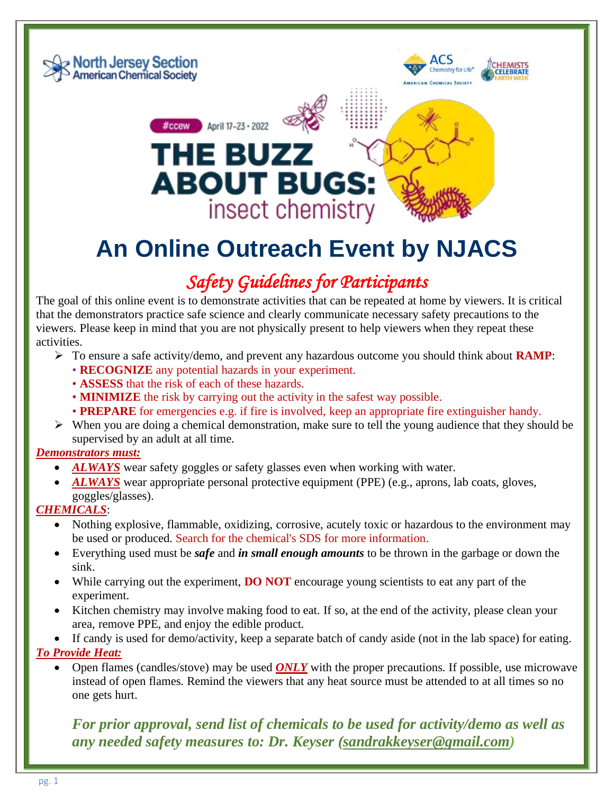

# **An Online Outreach Event by NJACS**

### *Safety Guidelines for Participants*

The goal of this online event is to demonstrate activities that can be repeated at home by viewers. It is critical that the demonstrators practice safe science and clearly communicate necessary safety precautions to the viewers. Please keep in mind that you are not physically present to help viewers when they repeat these activities.

- ➢ To ensure a safe activity/demo, and prevent any hazardous outcome you should think about **RAMP**:
	- **RECOGNIZE** any potential hazards in your experiment.
	- **ASSESS** that the risk of each of these hazards.
	- **MINIMIZE** the risk by carrying out the activity in the safest way possible.
	- **PREPARE** for emergencies e.g. if fire is involved, keep an appropriate fire extinguisher handy.
- ➢ When you are doing a chemical demonstration, make sure to tell the young audience that they should be supervised by an adult at all time.

#### *Demonstrators must:*

- *ALWAYS* wear safety goggles or safety glasses even when working with water.
- *ALWAYS* wear appropriate personal protective equipment (PPE) (e.g., aprons, lab coats, gloves, goggles/glasses).

#### *CHEMICALS*:

- Nothing explosive, flammable, oxidizing, corrosive, acutely toxic or hazardous to the environment may be used or produced. Search for the chemical's SDS for more information.
- Everything used must be *safe* and *in small enough amounts* to be thrown in the garbage or down the sink.
- While carrying out the experiment, **DO NOT** encourage young scientists to eat any part of the experiment.
- Kitchen chemistry may involve making food to eat. If so, at the end of the activity, please clean your area, remove PPE, and enjoy the edible product.
- If candy is used for demo/activity, keep a separate batch of candy aside (not in the lab space) for eating.

#### *To Provide Heat:*

• Open flames (candles/stove) may be used *ONLY* with the proper precautions. If possible, use microwave instead of open flames. Remind the viewers that any heat source must be attended to at all times so no one gets hurt.

*For prior approval, send list of chemicals to be used for activity/demo as well as any needed safety measures to: Dr. Keyser [\(sandrakkeyser@gmail.com\)](mailto:sandrakkeyser@gmail.com)*